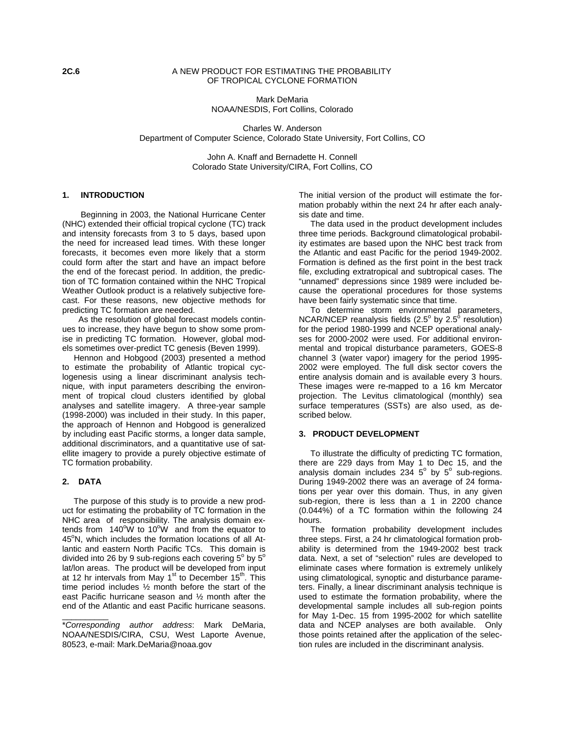## **2C.6** A NEW PRODUCT FOR ESTIMATING THE PROBABILITY OF TROPICAL CYCLONE FORMATION

Mark DeMaria NOAA/NESDIS, Fort Collins, Colorado

Charles W. Anderson Department of Computer Science, Colorado State University, Fort Collins, CO

> John A. Knaff and Bernadette H. Connell Colorado State University/CIRA, Fort Collins, CO

## **1. INTRODUCTION**

 Beginning in 2003, the National Hurricane Center (NHC) extended their official tropical cyclone (TC) track and intensity forecasts from 3 to 5 days, based upon the need for increased lead times. With these longer forecasts, it becomes even more likely that a storm could form after the start and have an impact before the end of the forecast period. In addition, the prediction of TC formation contained within the NHC Tropical Weather Outlook product is a relatively subjective forecast. For these reasons, new objective methods for predicting TC formation are needed.

 As the resolution of global forecast models continues to increase, they have begun to show some promise in predicting TC formation. However, global models sometimes over-predict TC genesis (Beven 1999).

 Hennon and Hobgood (2003) presented a method to estimate the probability of Atlantic tropical cyclogenesis using a linear discriminant analysis technique, with input parameters describing the environment of tropical cloud clusters identified by global analyses and satellite imagery. A three-year sample (1998-2000) was included in their study. In this paper, the approach of Hennon and Hobgood is generalized by including east Pacific storms, a longer data sample, additional discriminators, and a quantitative use of satellite imagery to provide a purely objective estimate of TC formation probability.

# **2. DATA**

\_\_\_\_\_\_\_\_\_\_

 The purpose of this study is to provide a new product for estimating the probability of TC formation in the NHC area of responsibility. The analysis domain extends from  $140^{\circ}$ W to  $10^{\circ}$ W and from the equator to 45°N, which includes the formation locations of all Atlantic and eastern North Pacific TCs. This domain is divided into 26 by 9 sub-regions each covering  $5^{\circ}$  by  $5^{\circ}$ lat/lon areas. The product will be developed from input at 12 hr intervals from May 1 $\mathrm{^{st}}$  to December 15 $\mathrm{^{th}}$ . This time period includes ½ month before the start of the east Pacific hurricane season and ½ month after the end of the Atlantic and east Pacific hurricane seasons.

\**Corresponding author address*: Mark DeMaria, NOAA/NESDIS/CIRA, CSU, West Laporte Avenue, 80523, e-mail: Mark.DeMaria@noaa.gov

The initial version of the product will estimate the formation probably within the next 24 hr after each analysis date and time.

 The data used in the product development includes three time periods. Background climatological probability estimates are based upon the NHC best track from the Atlantic and east Pacific for the period 1949-2002. Formation is defined as the first point in the best track file, excluding extratropical and subtropical cases. The "unnamed" depressions since 1989 were included because the operational procedures for those systems have been fairly systematic since that time.

 To determine storm environmental parameters, NCAR/NCEP reanalysis fields (2.5 $^{\circ}$  by 2.5 $^{\circ}$  resolution) for the period 1980-1999 and NCEP operational analyses for 2000-2002 were used. For additional environmental and tropical disturbance parameters, GOES-8 channel 3 (water vapor) imagery for the period 1995- 2002 were employed. The full disk sector covers the entire analysis domain and is available every 3 hours. These images were re-mapped to a 16 km Mercator projection. The Levitus climatological (monthly) sea surface temperatures (SSTs) are also used, as described below.

#### **3. PRODUCT DEVELOPMENT**

 To illustrate the difficulty of predicting TC formation, there are 229 days from May 1 to Dec 15, and the analysis domain includes  $234\,5^{\circ}$  by  $5^{\circ}$  sub-regions. During 1949-2002 there was an average of 24 formations per year over this domain. Thus, in any given sub-region, there is less than a 1 in 2200 chance (0.044%) of a TC formation within the following 24 hours.

 The formation probability development includes three steps. First, a 24 hr climatological formation probability is determined from the 1949-2002 best track data. Next, a set of "selection" rules are developed to eliminate cases where formation is extremely unlikely using climatological, synoptic and disturbance parameters. Finally, a linear discriminant analysis technique is used to estimate the formation probability, where the developmental sample includes all sub-region points for May 1-Dec. 15 from 1995-2002 for which satellite data and NCEP analyses are both available. Only those points retained after the application of the selection rules are included in the discriminant analysis.